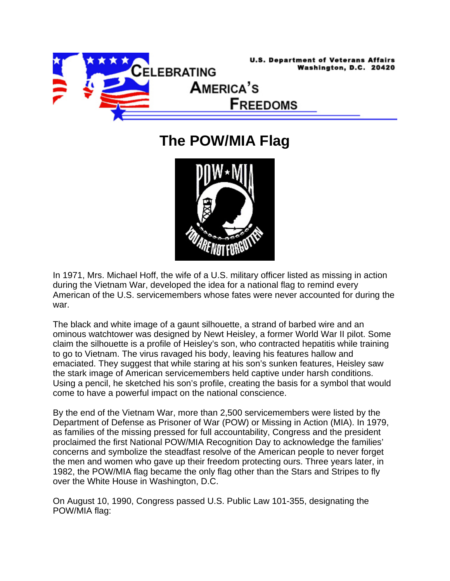

**The POW/MIA Flag** 



In 1971, Mrs. Michael Hoff, the wife of a U.S. military officer listed as missing in action during the Vietnam War, developed the idea for a national flag to remind every American of the U.S. servicemembers whose fates were never accounted for during the war.

The black and white image of a gaunt silhouette, a strand of barbed wire and an ominous watchtower was designed by Newt Heisley, a former World War II pilot. Some claim the silhouette is a profile of Heisley's son, who contracted hepatitis while training to go to Vietnam. The virus ravaged his body, leaving his features hallow and emaciated. They suggest that while staring at his son's sunken features, Heisley saw the stark image of American servicemembers held captive under harsh conditions. Using a pencil, he sketched his son's profile, creating the basis for a symbol that would come to have a powerful impact on the national conscience.

By the end of the Vietnam War, more than 2,500 servicemembers were listed by the Department of Defense as Prisoner of War (POW) or Missing in Action (MIA). In 1979, as families of the missing pressed for full accountability, Congress and the president proclaimed the first National POW/MIA Recognition Day to acknowledge the families' concerns and symbolize the steadfast resolve of the American people to never forget the men and women who gave up their freedom protecting ours. Three years later, in 1982, the POW/MIA flag became the only flag other than the Stars and Stripes to fly over the White House in Washington, D.C.

On August 10, 1990, Congress passed U.S. Public Law 101-355, designating the POW/MIA flag: